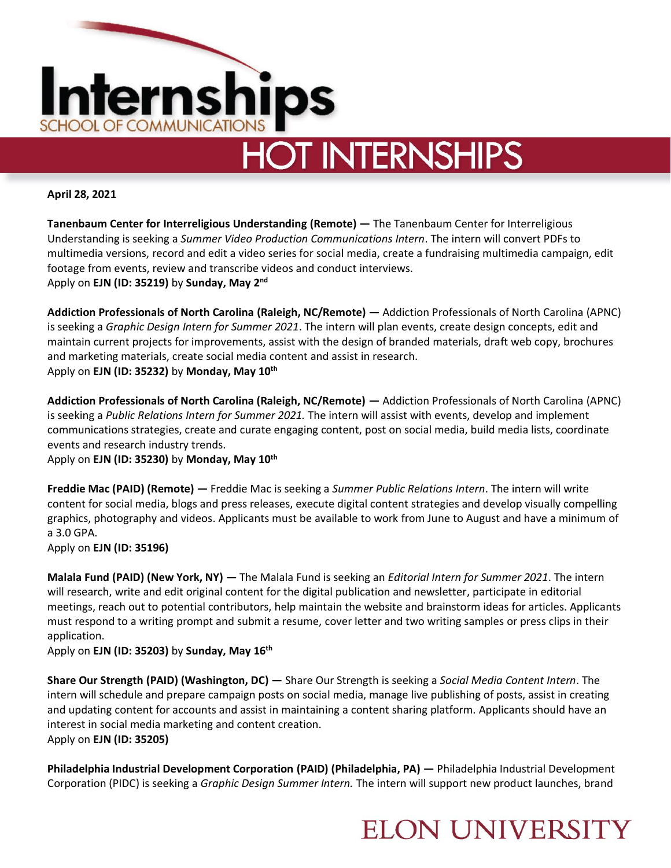

**April 28, 2021**

**Tanenbaum Center for Interreligious Understanding (Remote) —** The Tanenbaum Center for Interreligious Understanding is seeking a *Summer Video Production Communications Intern*. The intern will convert PDFs to multimedia versions, record and edit a video series for social media, create a fundraising multimedia campaign, edit footage from events, review and transcribe videos and conduct interviews. Apply on **EJN (ID: 35219)** by **Sunday, May 2nd**

**Addiction Professionals of North Carolina (Raleigh, NC/Remote) —** Addiction Professionals of North Carolina (APNC) is seeking a *Graphic Design Intern for Summer 2021*. The intern will plan events, create design concepts, edit and maintain current projects for improvements, assist with the design of branded materials, draft web copy, brochures and marketing materials, create social media content and assist in research. Apply on **EJN (ID: 35232)** by **Monday, May 10th**

**Addiction Professionals of North Carolina (Raleigh, NC/Remote) —** Addiction Professionals of North Carolina (APNC) is seeking a *Public Relations Intern for Summer 2021.* The intern will assist with events, develop and implement communications strategies, create and curate engaging content, post on social media, build media lists, coordinate events and research industry trends.

Apply on **EJN (ID: 35230)** by **Monday, May 10th**

**Freddie Mac (PAID) (Remote) —** Freddie Mac is seeking a *Summer Public Relations Intern*. The intern will write content for social media, blogs and press releases, execute digital content strategies and develop visually compelling graphics, photography and videos. Applicants must be available to work from June to August and have a minimum of a 3.0 GPA.

Apply on **EJN (ID: 35196)** 

**Malala Fund (PAID) (New York, NY) —** The Malala Fund is seeking an *Editorial Intern for Summer 2021*. The intern will research, write and edit original content for the digital publication and newsletter, participate in editorial meetings, reach out to potential contributors, help maintain the website and brainstorm ideas for articles. Applicants must respond to a writing prompt and submit a resume, cover letter and two writing samples or press clips in their application.

Apply on **EJN (ID: 35203)** by **Sunday, May 16th**

**Share Our Strength (PAID) (Washington, DC) —** Share Our Strength is seeking a *Social Media Content Intern*. The intern will schedule and prepare campaign posts on social media, manage live publishing of posts, assist in creating and updating content for accounts and assist in maintaining a content sharing platform. Applicants should have an interest in social media marketing and content creation. Apply on **EJN (ID: 35205)**

**Philadelphia Industrial Development Corporation (PAID) (Philadelphia, PA) —** Philadelphia Industrial Development Corporation (PIDC) is seeking a *Graphic Design Summer Intern.* The intern will support new product launches, brand

#### **ELON UNIVERSITY**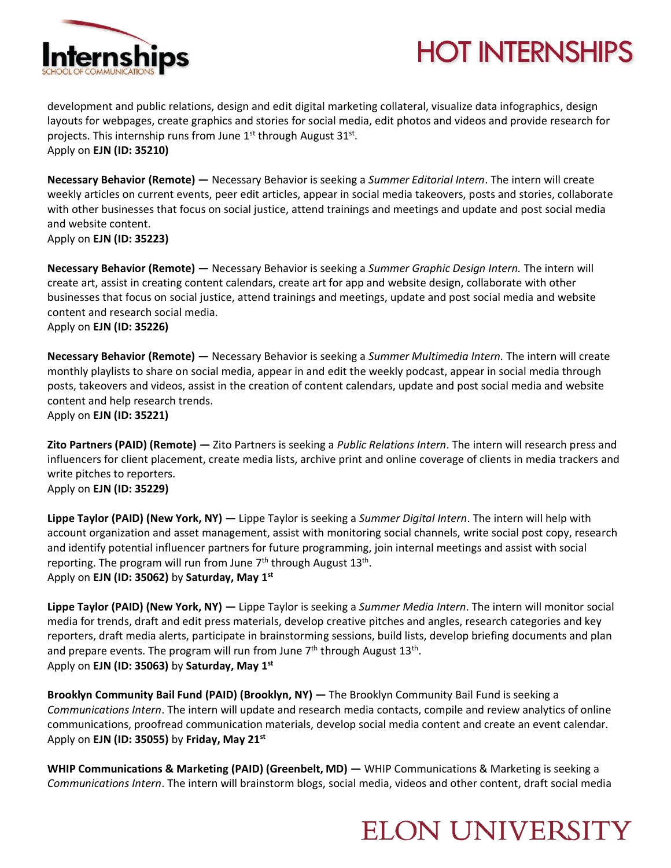

# **HOT INTERNSHIPS**

development and public relations, design and edit digital marketing collateral, visualize data infographics, design layouts for webpages, create graphics and stories for social media, edit photos and videos and provide research for projects. This internship runs from June 1<sup>st</sup> through August 31<sup>st</sup>. Apply on **EJN (ID: 35210)** 

**Necessary Behavior (Remote) —** Necessary Behavior is seeking a *Summer Editorial Intern*. The intern will create weekly articles on current events, peer edit articles, appear in social media takeovers, posts and stories, collaborate with other businesses that focus on social justice, attend trainings and meetings and update and post social media and website content.

Apply on **EJN (ID: 35223)** 

**Necessary Behavior (Remote) —** Necessary Behavior is seeking a *Summer Graphic Design Intern.* The intern will create art, assist in creating content calendars, create art for app and website design, collaborate with other businesses that focus on social justice, attend trainings and meetings, update and post social media and website content and research social media. Apply on **EJN (ID: 35226)** 

**Necessary Behavior (Remote) —** Necessary Behavior is seeking a *Summer Multimedia Intern.* The intern will create monthly playlists to share on social media, appear in and edit the weekly podcast, appear in social media through posts, takeovers and videos, assist in the creation of content calendars, update and post social media and website content and help research trends.

Apply on **EJN (ID: 35221)** 

**Zito Partners (PAID) (Remote) —** Zito Partners is seeking a *Public Relations Intern*. The intern will research press and influencers for client placement, create media lists, archive print and online coverage of clients in media trackers and write pitches to reporters.

Apply on **EJN (ID: 35229)** 

**Lippe Taylor (PAID) (New York, NY) —** Lippe Taylor is seeking a *Summer Digital Intern*. The intern will help with account organization and asset management, assist with monitoring social channels, write social post copy, research and identify potential influencer partners for future programming, join internal meetings and assist with social reporting. The program will run from June  $7<sup>th</sup>$  through August 13<sup>th</sup>. Apply on **EJN (ID: 35062)** by **Saturday, May 1st**

**Lippe Taylor (PAID) (New York, NY) —** Lippe Taylor is seeking a *Summer Media Intern*. The intern will monitor social media for trends, draft and edit press materials, develop creative pitches and angles, research categories and key reporters, draft media alerts, participate in brainstorming sessions, build lists, develop briefing documents and plan and prepare events. The program will run from June 7<sup>th</sup> through August 13<sup>th</sup>. Apply on **EJN (ID: 35063)** by **Saturday, May 1st**

**Brooklyn Community Bail Fund (PAID) (Brooklyn, NY) —** The Brooklyn Community Bail Fund is seeking a *Communications Intern*. The intern will update and research media contacts, compile and review analytics of online communications, proofread communication materials, develop social media content and create an event calendar. Apply on **EJN (ID: 35055)** by **Friday, May 21st**

**WHIP Communications & Marketing (PAID) (Greenbelt, MD) — WHIP Communications & Marketing is seeking a** *Communications Intern*. The intern will brainstorm blogs, social media, videos and other content, draft social media

### **ELON UNIVERSITY**